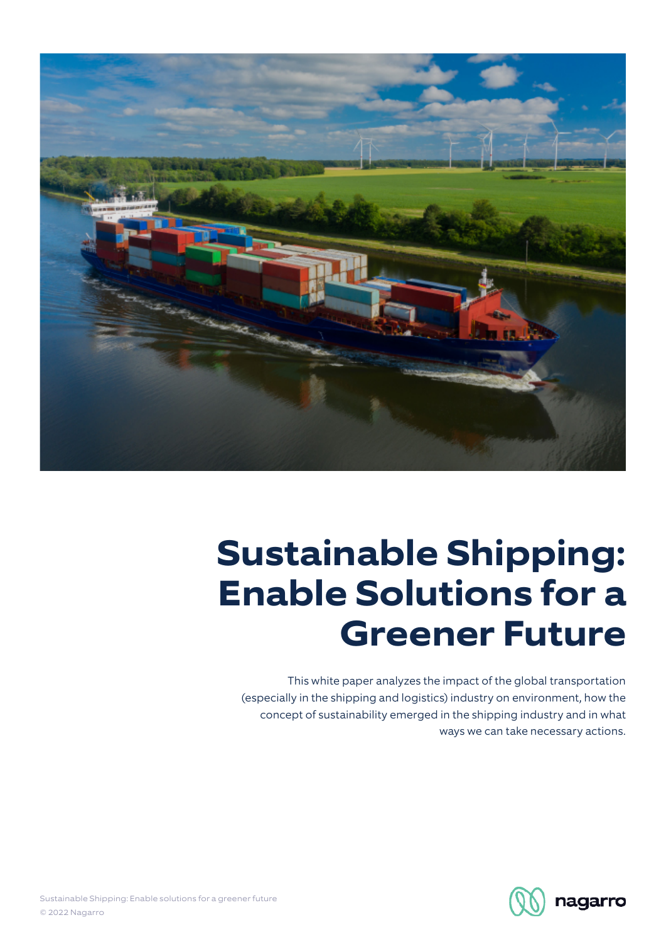

# **Sustainable Shipping: Enable Solutions for a Greener Future**

This white paper analyzes the impact of the global transportation (especially in the shipping and logistics) industry on environment, how the concept of sustainability emerged in the shipping industry and in what ways we can take necessary actions.

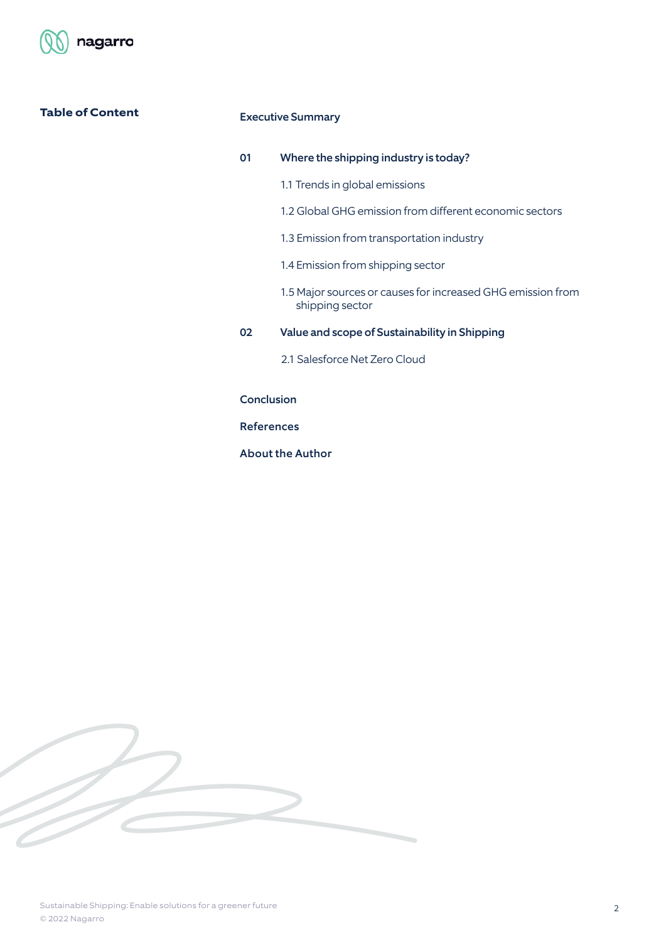

# **Table of Content**

### Executive Summary

# 01 Where the shipping industry is today?

- 1.1 Trends in global emissions
- 1.2 Global GHG emission from different economic sectors
- 1.3 Emission from transportation industry
- 1.4 Emission from shipping sector
- 1.5 Major sources or causes for increased GHG emission from shipping sector
- 02 Value and scope of Sustainability in Shipping
	- 2.1 Salesforce Net Zero Cloud

# Conclusion

References

About the Author

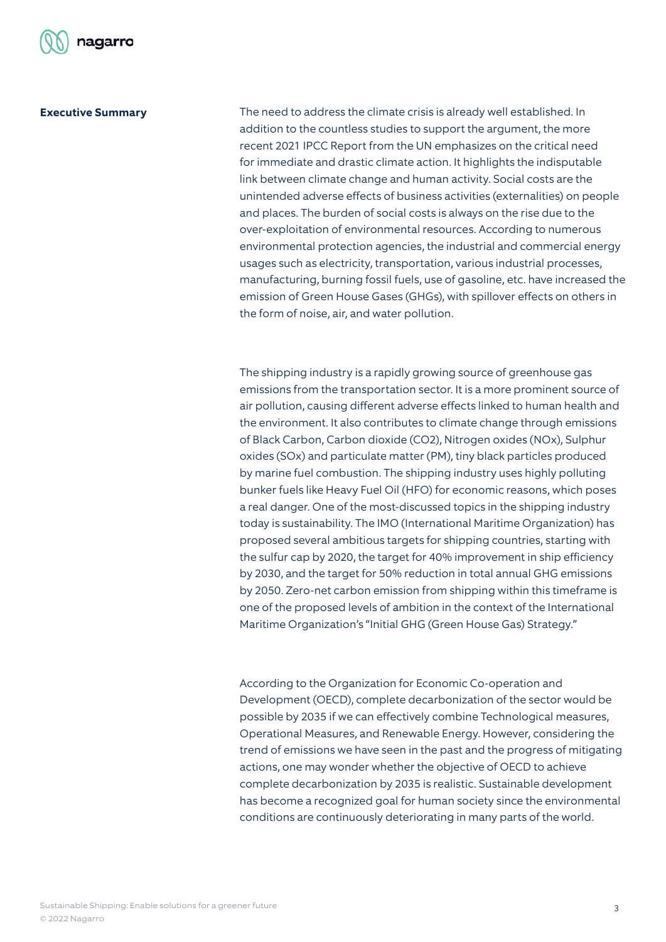

#### **Executive Summary**

The need to address the climate crisis is already well established. In addition to the countless studies to support the argument, the more recent 2021 IPCC Report from the UN emphasizes on the critical need for immediate and drastic climate action. It highlights the indisputable link between climate change and human activity. Social costs are the unintended adverse effects of business activities (externalities) on people and places. The burden of social costs is always on the rise due to the over-exploitation of environmental resources. According to numerous environmental protection agencies, the industrial and commercial energy usages such as electricity, transportation, various industrial processes, manufacturing, burning fossil fuels, use of gasoline, etc. have increased the emission of Green House Gases (GHGs), with spillover effects on others in the form of noise, air, and water pollution.

The shipping industry is a rapidly growing source of greenhouse gas emissions from the transportation sector. It is a more prominent source of air pollution, causing different adverse effects linked to human health and the environment. It also contributes to climate change through emissions of Black Carbon, Carbon dioxide (CO2), Nitrogen oxides (NOx), Sulphur oxides (SOx) and particulate matter (PM), tiny black particles produced by marine fuel combustion. The shipping industry uses highly polluting bunker fuels like Heavy Fuel Oil (HFO) for economic reasons, which poses a real danger. One of the most-discussed topics in the shipping industry today is sustainability. The IMO (International Maritime Organization) has proposed several ambitious targets for shipping countries, starting with the sulfur cap by 2020, the target for 40% improvement in ship efficiency by 2030, and the target for 50% reduction in total annual GHG emissions by 2050. Zero-net carbon emission from shipping within this timeframe is one of the proposed levels of ambition in the context of the International Maritime Organization's "Initial GHG (Green House Gas) Strategy."

According to the Organization for Economic Co-operation and Development (OECD), complete decarbonization of the sector would be possible by 2035 if we can effectively combine Technological measures, Operational Measures, and Renewable Energy. However, considering the trend of emissions we have seen in the past and the progress of mitigating actions, one may wonder whether the objective of OECD to achieve complete decarbonization by 2035 is realistic. Sustainable development has become a recognized goal for human society since the environmental conditions are continuously deteriorating in many parts of the world.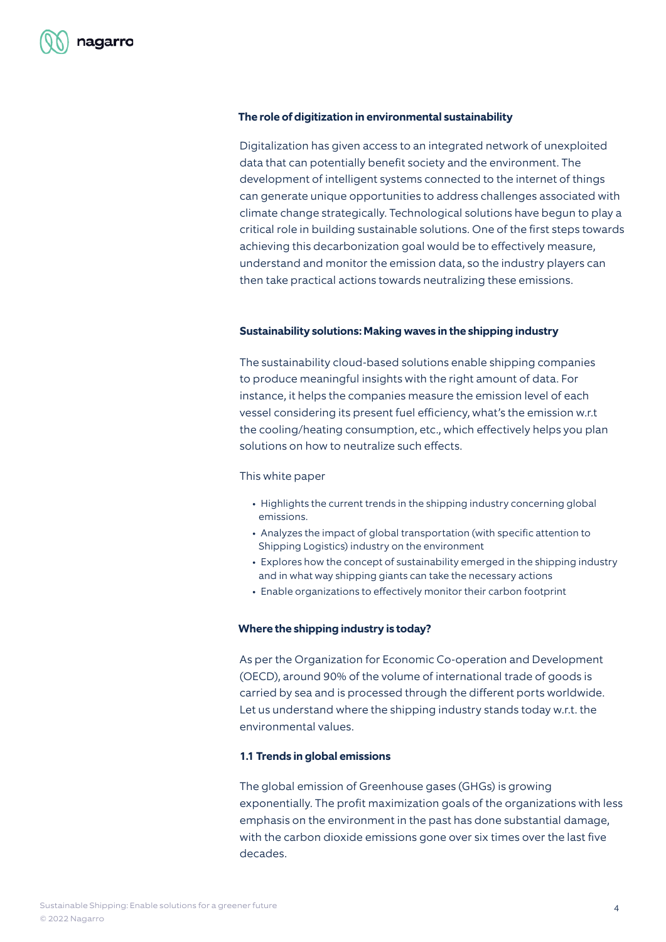#### **The role of digitization in environmental sustainability**

Digitalization has given access to an integrated network of unexploited data that can potentially benefit society and the environment. The development of intelligent systems connected to the internet of things can generate unique opportunities to address challenges associated with climate change strategically. Technological solutions have begun to play a critical role in building sustainable solutions. One of the first steps towards achieving this decarbonization goal would be to effectively measure, understand and monitor the emission data, so the industry players can then take practical actions towards neutralizing these emissions.

#### **Sustainability solutions: Making waves in the shipping industry**

The sustainability cloud-based solutions enable shipping companies to produce meaningful insights with the right amount of data. For instance, it helps the companies measure the emission level of each vessel considering its present fuel efficiency, what's the emission w.r.t the cooling/heating consumption, etc., which effectively helps you plan solutions on how to neutralize such effects.

#### This white paper

- Highlights the current trends in the shipping industry concerning global emissions.
- Analyzes the impact of global transportation (with specific attention to Shipping Logistics) industry on the environment
- Explores how the concept of sustainability emerged in the shipping industry and in what way shipping giants can take the necessary actions
- Enable organizations to effectively monitor their carbon footprint

#### **Where the shipping industry is today?**

As per the Organization for Economic Co-operation and Development (OECD), around 90% of the volume of international trade of goods is carried by sea and is processed through the different ports worldwide. Let us understand where the shipping industry stands today w.r.t. the environmental values.

#### **1.1 Trends in global emissions**

The global emission of Greenhouse gases (GHGs) is growing exponentially. The profit maximization goals of the organizations with less emphasis on the environment in the past has done substantial damage, with the carbon dioxide emissions gone over six times over the last five decades.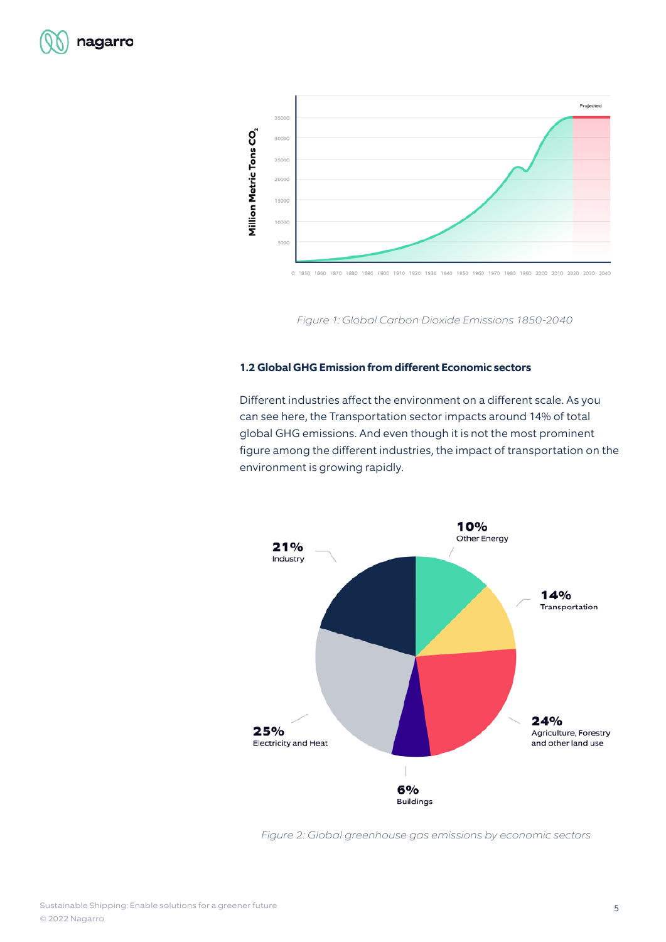



Figure 1: Global Carbon Dioxide Emissions 1850-2040

### **1.2 Global GHG Emission from different Economic sectors**

Different industries affect the environment on a different scale. As you can see here, the Transportation sector impacts around 14% of total global GHG emissions. And even though it is not the most prominent figure among the different industries, the impact of transportation on the environment is growing rapidly.



Figure 2: Global greenhouse gas emissions by economic sectors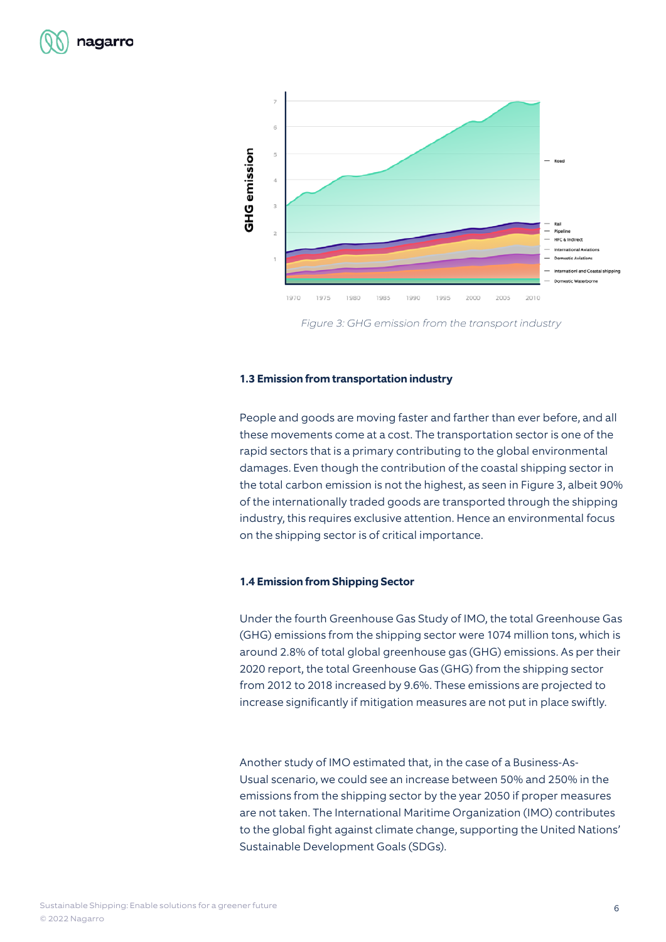



Figure 3: GHG emission from the transport industry

#### **1.3 Emission from transportation industry**

People and goods are moving faster and farther than ever before, and all these movements come at a cost. The transportation sector is one of the rapid sectors that is a primary contributing to the global environmental damages. Even though the contribution of the coastal shipping sector in the total carbon emission is not the highest, as seen in Figure 3, albeit 90% of the internationally traded goods are transported through the shipping industry, this requires exclusive attention. Hence an environmental focus on the shipping sector is of critical importance.

#### **1.4 Emission from Shipping Sector**

Under the fourth Greenhouse Gas Study of IMO, the total Greenhouse Gas (GHG) emissions from the shipping sector were 1074 million tons, which is around 2.8% of total global greenhouse gas (GHG) emissions. As per their 2020 report, the total Greenhouse Gas (GHG) from the shipping sector from 2012 to 2018 increased by 9.6%. These emissions are projected to increase significantly if mitigation measures are not put in place swiftly.

Another study of IMO estimated that, in the case of a Business-As-Usual scenario, we could see an increase between 50% and 250% in the emissions from the shipping sector by the year 2050 if proper measures are not taken. The International Maritime Organization (IMO) contributes to the global fight against climate change, supporting the United Nations' Sustainable Development Goals (SDGs).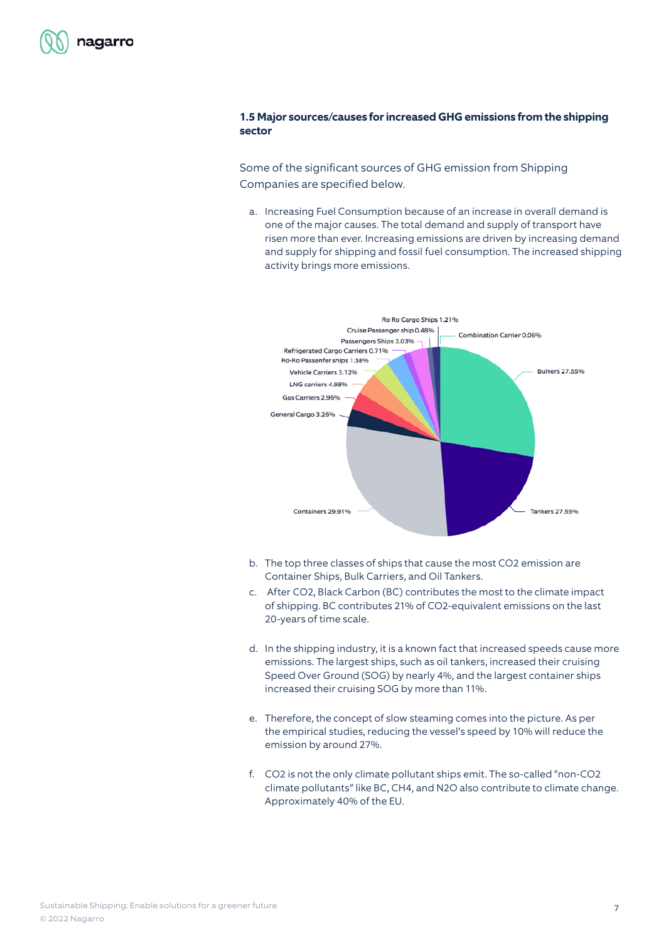

# **1.5 Major sources/causes for increased GHG emissions from the shipping sector**

Some of the significant sources of GHG emission from Shipping Companies are specified below.

a. Increasing Fuel Consumption because of an increase in overall demand is one of the major causes. The total demand and supply of transport have risen more than ever. Increasing emissions are driven by increasing demand and supply for shipping and fossil fuel consumption. The increased shipping activity brings more emissions.



- b. The top three classes of ships that cause the most CO2 emission are Container Ships, Bulk Carriers, and Oil Tankers.
- c. After CO2, Black Carbon (BC) contributes the most to the climate impact of shipping. BC contributes 21% of CO2-equivalent emissions on the last 20-years of time scale.
- d. In the shipping industry, it is a known fact that increased speeds cause more emissions. The largest ships, such as oil tankers, increased their cruising Speed Over Ground (SOG) by nearly 4%, and the largest container ships increased their cruising SOG by more than 11%.
- e. Therefore, the concept of slow steaming comes into the picture. As per the empirical studies, reducing the vessel's speed by 10% will reduce the emission by around 27%.
- f. CO2 is not the only climate pollutant ships emit. The so-called "non-CO2 climate pollutants" like BC, CH4, and N2O also contribute to climate change. Approximately 40% of the EU.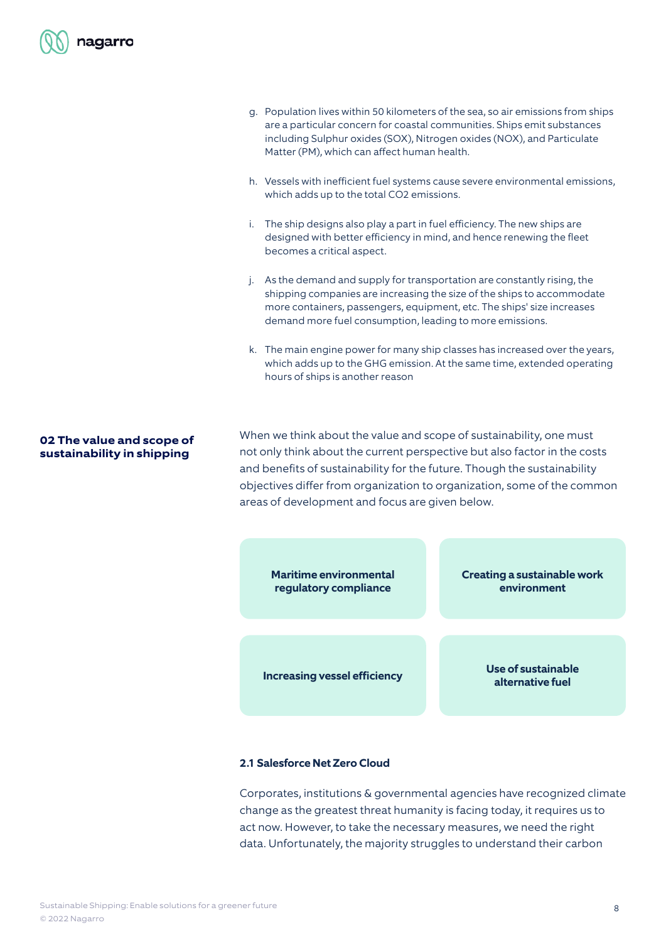

- g. Population lives within 50 kilometers of the sea, so air emissions from ships are a particular concern for coastal communities. Ships emit substances including Sulphur oxides (SOX), Nitrogen oxides (NOX), and Particulate Matter (PM), which can affect human health.
- h. Vessels with inefficient fuel systems cause severe environmental emissions, which adds up to the total CO2 emissions.
- i. The ship designs also play a part in fuel efficiency. The new ships are designed with better efficiency in mind, and hence renewing the fleet becomes a critical aspect.
- j. As the demand and supply for transportation are constantly rising, the shipping companies are increasing the size of the ships to accommodate more containers, passengers, equipment, etc. The ships' size increases demand more fuel consumption, leading to more emissions.
- k. The main engine power for many ship classes has increased over the years, which adds up to the GHG emission. At the same time, extended operating hours of ships is another reason

## **02 The value and scope of sustainability in shipping**

When we think about the value and scope of sustainability, one must not only think about the current perspective but also factor in the costs and benefits of sustainability for the future. Though the sustainability objectives differ from organization to organization, some of the common areas of development and focus are given below.



#### **2.1 Salesforce Net Zero Cloud**

Corporates, institutions & governmental agencies have recognized climate change as the greatest threat humanity is facing today, it requires us to act now. However, to take the necessary measures, we need the right data. Unfortunately, the majority struggles to understand their carbon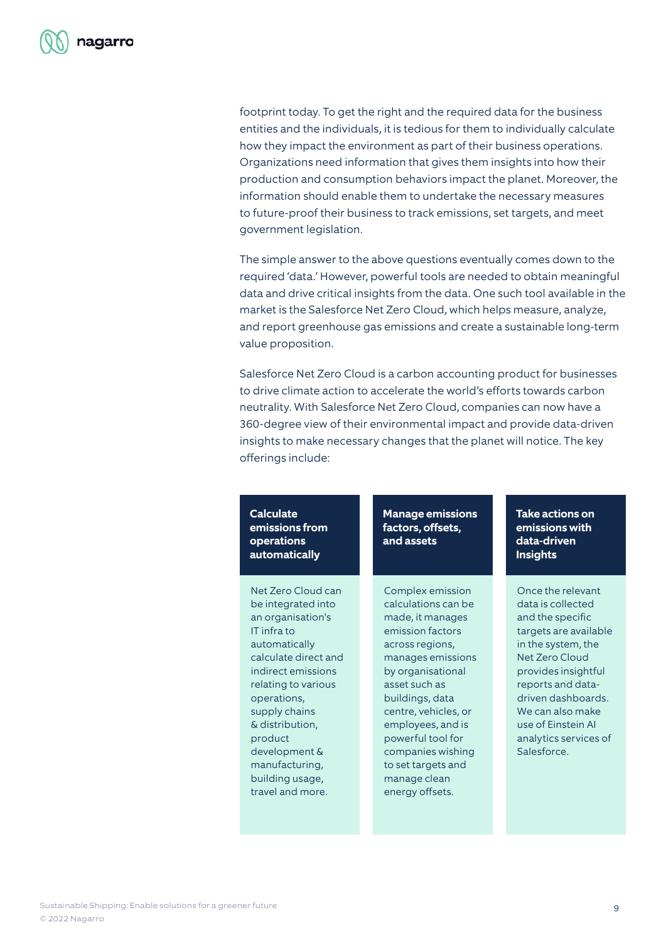footprint today. To get the right and the required data for the business entities and the individuals, it is tedious for them to individually calculate how they impact the environment as part of their business operations. Organizations need information that gives them insights into how their production and consumption behaviors impact the planet. Moreover, the information should enable them to undertake the necessary measures to future-proof their business to track emissions, set targets, and meet government legislation.

The simple answer to the above questions eventually comes down to the required 'data.' However, powerful tools are needed to obtain meaningful data and drive critical insights from the data. One such tool available in the market is the Salesforce Net Zero Cloud, which helps measure, analyze, and report greenhouse gas emissions and create a sustainable long-term value proposition.

Salesforce Net Zero Cloud is a carbon accounting product for businesses to drive climate action to accelerate the world's efforts towards carbon neutrality. With Salesforce Net Zero Cloud, companies can now have a 360-degree view of their environmental impact and provide data-driven insights to make necessary changes that the planet will notice. The key offerings include:

**Calculate emissions from operations automatically**

Net Zero Cloud can be integrated into an organisation's IT infra to automatically calculate direct and indirect emissions relating to various operations, supply chains & distribution, product development & manufacturing, building usage, travel and more.

**Manage emissions factors, offsets, and assets**

Complex emission calculations can be made, it manages emission factors across regions, manages emissions by organisational asset such as buildings, data centre, vehicles, or employees, and is powerful tool for companies wishing to set targets and manage clean energy offsets.

**Take actions on emissions with data-driven Insights**

Once the relevant data is collected and the specific targets are available in the system, the Net Zero Cloud provides insightful reports and datadriven dashboards. We can also make use of Einstein AI analytics services of Salesforce.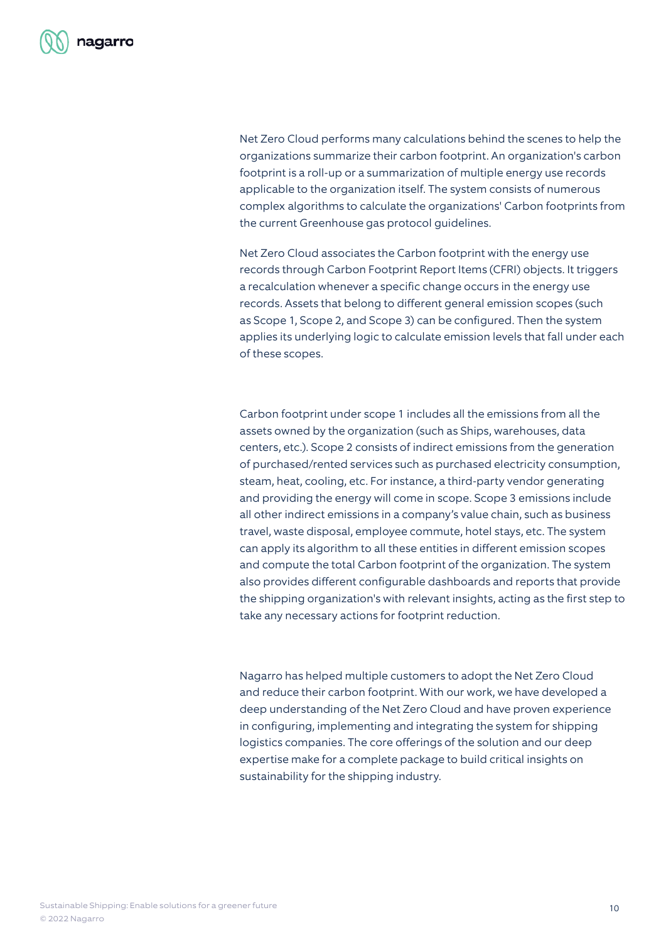

Net Zero Cloud performs many calculations behind the scenes to help the organizations summarize their carbon footprint. An organization's carbon footprint is a roll-up or a summarization of multiple energy use records applicable to the organization itself. The system consists of numerous complex algorithms to calculate the organizations' Carbon footprints from the current Greenhouse gas protocol guidelines.

Net Zero Cloud associates the Carbon footprint with the energy use records through Carbon Footprint Report Items (CFRI) objects. It triggers a recalculation whenever a specific change occurs in the energy use records. Assets that belong to different general emission scopes (such as Scope 1, Scope 2, and Scope 3) can be configured. Then the system applies its underlying logic to calculate emission levels that fall under each of these scopes.

Carbon footprint under scope 1 includes all the emissions from all the assets owned by the organization (such as Ships, warehouses, data centers, etc.). Scope 2 consists of indirect emissions from the generation of purchased/rented services such as purchased electricity consumption, steam, heat, cooling, etc. For instance, a third-party vendor generating and providing the energy will come in scope. Scope 3 emissions include all other indirect emissions in a company's value chain, such as business travel, waste disposal, employee commute, hotel stays, etc. The system can apply its algorithm to all these entities in different emission scopes and compute the total Carbon footprint of the organization. The system also provides different configurable dashboards and reports that provide the shipping organization's with relevant insights, acting as the first step to take any necessary actions for footprint reduction.

Nagarro has helped multiple customers to adopt the Net Zero Cloud and reduce their carbon footprint. With our work, we have developed a deep understanding of the Net Zero Cloud and have proven experience in configuring, implementing and integrating the system for shipping logistics companies. The core offerings of the solution and our deep expertise make for a complete package to build critical insights on sustainability for the shipping industry.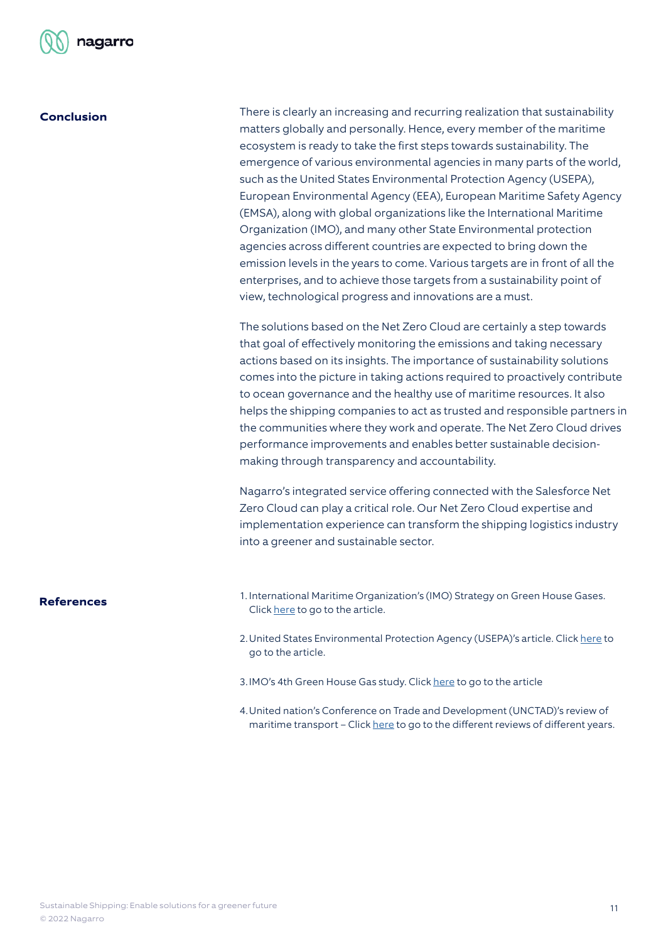

# **Conclusion**

There is clearly an increasing and recurring realization that sustainability matters globally and personally. Hence, every member of the maritime ecosystem is ready to take the first steps towards sustainability. The emergence of various environmental agencies in many parts of the world, such as the United States Environmental Protection Agency (USEPA), European Environmental Agency (EEA), European Maritime Safety Agency (EMSA), along with global organizations like the International Maritime Organization (IMO), and many other State Environmental protection agencies across different countries are expected to bring down the emission levels in the years to come. Various targets are in front of all the enterprises, and to achieve those targets from a sustainability point of view, technological progress and innovations are a must.

The solutions based on the Net Zero Cloud are certainly a step towards that goal of effectively monitoring the emissions and taking necessary actions based on its insights. The importance of sustainability solutions comes into the picture in taking actions required to proactively contribute to ocean governance and the healthy use of maritime resources. It also helps the shipping companies to act as trusted and responsible partners in the communities where they work and operate. The Net Zero Cloud drives performance improvements and enables better sustainable decisionmaking through transparency and accountability.

Nagarro's integrated service offering connected with the Salesforce Net Zero Cloud can play a critical role. Our Net Zero Cloud expertise and implementation experience can transform the shipping logistics industry into a greener and sustainable sector.

- **References** 1. International Maritime Organization's (IMO) Strategy on Green House Gases. Click [here](https://www.imo.org/en/MediaCentre/HotTopics/Pages/Reducing-greenhouse-gas-emissions-from-ships.aspx) to go to the article.
	- 2. United States Environmental Protection Agency (USEPA)'s article. Click [here](https://www.epa.gov/ghgemissions/global-greenhouse-gas-emissions-data) to go to the article.
	- 3. IMO's 4th Green House Gas study. Click [here](https://www.imo.org/en/OurWork/Environment/Pages/Fourth-IMO-Greenhouse-Gas-Study-2020.aspx) to go to the article
	- 4.United nation's Conference on Trade and Development (UNCTAD)'s review of maritime transport – Click [here](https://unctad.org/topic/transport-and-trade-logistics/review-of-maritime-transport) to go to the different reviews of different years.